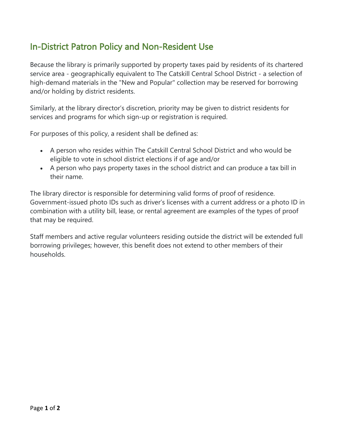## In-District Patron Policy and Non-Resident Use

Because the library is primarily supported by property taxes paid by residents of its chartered service area - geographically equivalent to The Catskill Central School District - a selection of high-demand materials in the "New and Popular" collection may be reserved for borrowing and/or holding by district residents.

Similarly, at the library director's discretion, priority may be given to district residents for services and programs for which sign-up or registration is required.

For purposes of this policy, a resident shall be defined as:

- A person who resides within The Catskill Central School District and who would be eligible to vote in school district elections if of age and/or
- A person who pays property taxes in the school district and can produce a tax bill in their name.

The library director is responsible for determining valid forms of proof of residence. Government-issued photo IDs such as driver's licenses with a current address or a photo ID in combination with a utility bill, lease, or rental agreement are examples of the types of proof that may be required.

Staff members and active regular volunteers residing outside the district will be extended full borrowing privileges; however, this benefit does not extend to other members of their households.